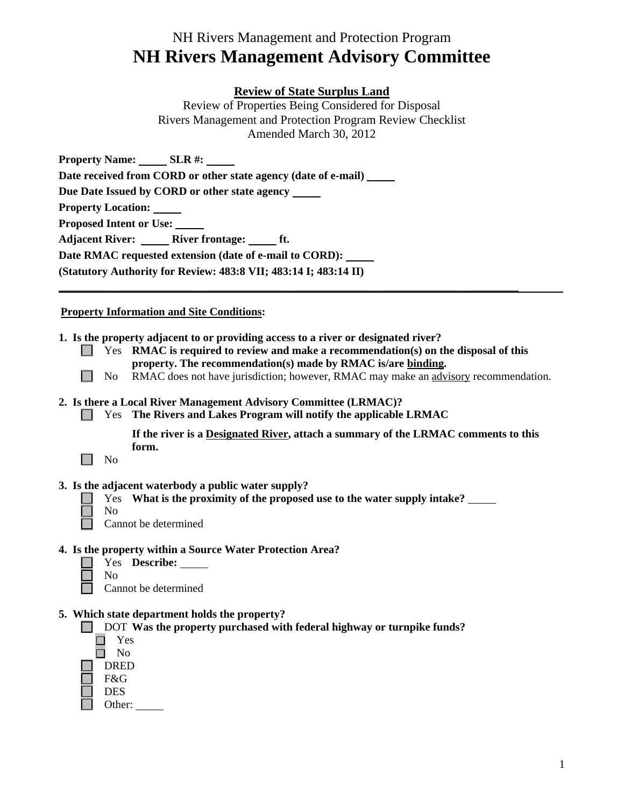# **Review of State Surplus Land**

Review of Properties Being Considered for Disposal Rivers Management and Protection Program Review Checklist Amended March 30, 2012

Property Name: SLR #: **Date received from CORD or other state agency (date of e-mail) Due Date Issued by CORD or other state agency Property Location: Proposed Intent or Use:**  Adjacent River: **River frontage:** ft. **Date RMAC requested extension (date of e-mail to CORD): (Statutory Authority for Review: 483:8 VII; 483:14 I; 483:14 II)** 

## **Property Information and Site Conditions:**

- **1. Is the property adjacent to or providing access to a river or designated river?**
	- Yes **RMAC is required to review and make a recommendation(s) on the disposal of this property. The recommendation(s) made by RMAC is/are binding.**
		- No RMAC does not have jurisdiction; however, RMAC may make an advisory recommendation.

### **2. Is there a Local River Management Advisory Committee (LRMAC)?**

Yes **The Rivers and Lakes Program will notify the applicable LRMAC** 

**\_\_\_\_\_\_\_\_\_\_\_\_\_\_\_\_\_\_\_\_\_\_\_\_\_\_\_\_\_\_\_\_\_\_\_\_\_\_\_\_\_\_\_\_\_\_\_\_\_\_\_\_\_\_\_\_\_\_\_\_\_\_\_\_\_\_\_\_\_\_\_\_\_\_\_\_\_\_\_\_\_\_\_\_\_\_** 

**If the river is a Designated River, attach a summary of the LRMAC comments to this form.**

|--|--|

- **3. Is the adjacent waterbody a public water supply?**
	- Yes **What is the proximity of the proposed use to the water supply intake?**
	- $\Box$
- No Cannot be determined
- **4. Is the property within a Source Water Protection Area?** 
	- Yes **Describe:**  No
		- Cannot be determined

## **5. Which state department holds the property?**

DOT Was the property purchased with federal highway or turnpike funds?



Other: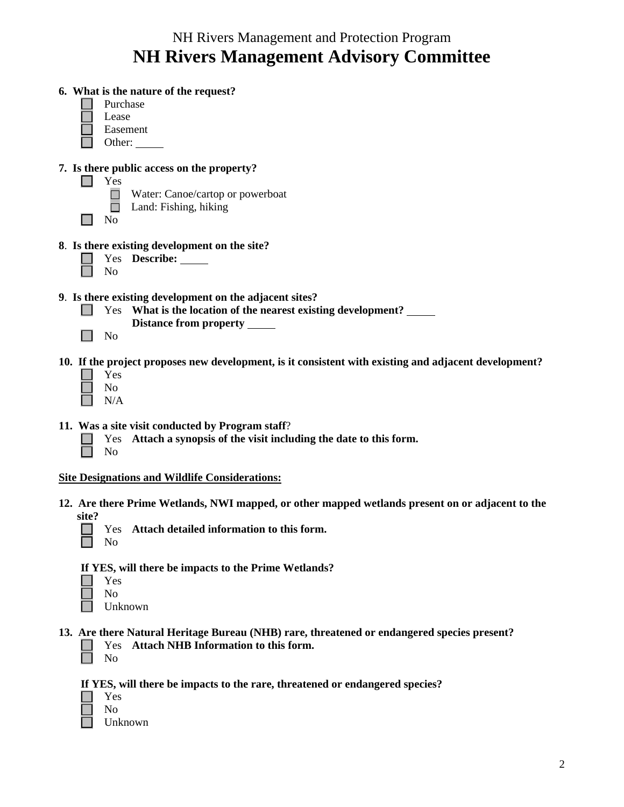| 6. What is the nature of the request?                                                                 |
|-------------------------------------------------------------------------------------------------------|
| Purchase                                                                                              |
| Lease                                                                                                 |
| Easement                                                                                              |
| Other:                                                                                                |
|                                                                                                       |
| 7. Is there public access on the property?                                                            |
| Yes                                                                                                   |
| Water: Canoe/cartop or powerboat<br>H                                                                 |
| Land: Fishing, hiking                                                                                 |
| No                                                                                                    |
| 8. Is there existing development on the site?                                                         |
| Yes Describe: ______                                                                                  |
| N <sub>o</sub>                                                                                        |
|                                                                                                       |
| 9. Is there existing development on the adjacent sites?                                               |
| What is the location of the nearest existing development?<br>Yes                                      |
| Distance from property ______                                                                         |
| N <sub>o</sub>                                                                                        |
| 10. If the project proposes new development, is it consistent with existing and adjacent development? |
| Yes                                                                                                   |
| N <sub>o</sub>                                                                                        |
| N/A                                                                                                   |
|                                                                                                       |
| 11. Was a site visit conducted by Program staff?                                                      |
| Attach a synopsis of the visit including the date to this form.<br>Yes<br>No                          |
|                                                                                                       |
| <b>Site Designations and Wildlife Considerations:</b>                                                 |
| 12. Are there Prime Wetlands, NWI mapped, or other mapped wetlands present on or adjacent to the      |
| site?                                                                                                 |
| Attach detailed information to this form.<br>Yes.                                                     |
| N <sub>o</sub>                                                                                        |

**If YES, will there be impacts to the Prime Wetlands?** 

- Yes
- No

П

- Unknown
- **13. Are there Natural Heritage Bureau (NHB) rare, threatened or endangered species present?**  Yes **Attach NHB Information to this form.** 
	- $\Box$ No

**If YES, will there be impacts to the rare, threatened or endangered species?** 

- Yes
- No
- Unknown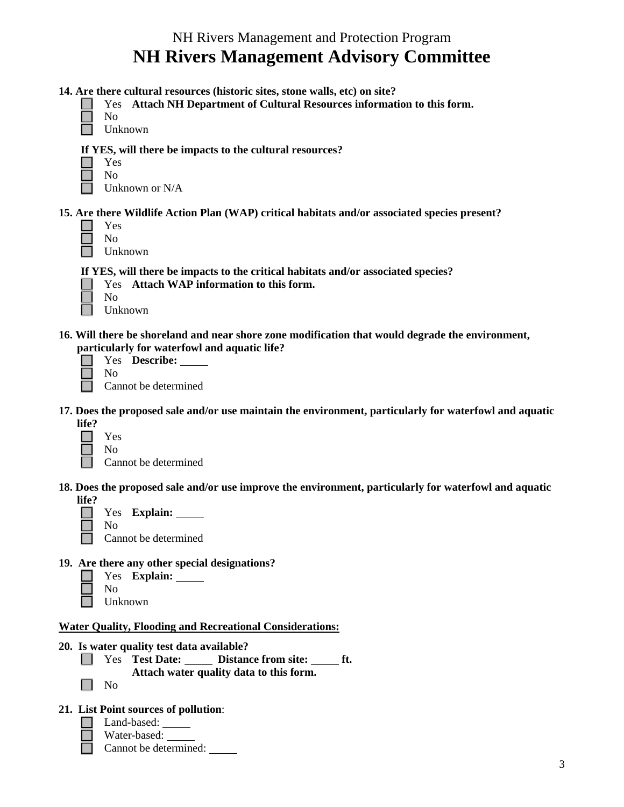|  |  | 14. Are there cultural resources (historic sites, stone walls, etc) on site? |  |  |  |
|--|--|------------------------------------------------------------------------------|--|--|--|
|  |  |                                                                              |  |  |  |

Yes **Attach NH Department of Cultural Resources information to this form.**  $\Box$ 

|--|

 $\Box$ Unknown

#### **If YES, will there be impacts to the cultural resources?**

| ۰,<br>۰. |
|----------|
|          |

No Unknown or N/A

## **15. Are there Wildlife Action Plan (WAP) critical habitats and/or associated species present?**

| ×<br>۰.<br>۰. |
|---------------|
|               |

No П Unknown

**If YES, will there be impacts to the critical habitats and/or associated species?** 

Yes **Attach WAP information to this form.** 

- Unknown
- **16. Will there be shoreland and near shore zone modification that would degrade the environment, particularly for waterfowl and aquatic life?**

No **Cannot** be determined

Yes **Describe:**

- **17. Does the proposed sale and/or use maintain the environment, particularly for waterfowl and aquatic life?** 
	- Yes No

Cannot be determined

**18. Does the proposed sale and/or use improve the environment, particularly for waterfowl and aquatic life?** 

| l Le |     |                      |
|------|-----|----------------------|
|      |     | Yes Explain:         |
|      | No. |                      |
|      |     | Cannot be determined |

**19. Are there any other special designations?** 

| Yes     | <b>Explain:</b> |
|---------|-----------------|
| Nο      |                 |
| Unknown |                 |

## **Water Quality, Flooding and Recreational Considerations:**

- **20. Is water quality test data available?** 
	- Yes Test Date: Distance from site: ht. **Attach water quality data to this form.**
	- No  $\Box$

## **21. List Point sources of pollution**:

- Land-based:
- Water-based:
	- Cannot be determined: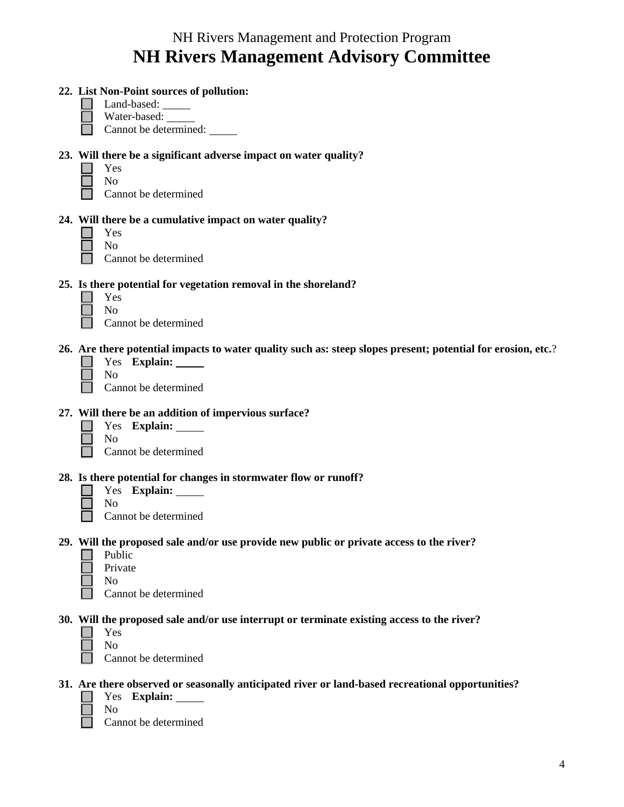| 22. List Non-Point sources of pollution:<br>Land-based: ______<br>Water-based:<br>Cannot be determined:                                                    |
|------------------------------------------------------------------------------------------------------------------------------------------------------------|
| 23. Will there be a significant adverse impact on water quality?<br>Yes<br>No<br>Cannot be determined                                                      |
| 24. Will there be a cumulative impact on water quality?<br>Yes<br>N <sub>o</sub><br>Cannot be determined                                                   |
| 25. Is there potential for vegetation removal in the shoreland?<br>Yes<br>No<br>Cannot be determined                                                       |
| 26. Are there potential impacts to water quality such as: steep slopes present; potential for erosion, etc.?<br>Yes Explain:<br>No<br>Cannot be determined |
| 27. Will there be an addition of impervious surface?<br>Yes Explain:<br>N <sub>o</sub><br>Cannot be determined                                             |
| 28. Is there potential for changes in stormwater flow or runoff?<br>Yes Explain: ______<br>No<br>Cannot be determined                                      |
| 29. Will the proposed sale and/or use provide new public or private access to the river?<br>Public<br>Private<br>No<br>Cannot be determined                |
| 30. Will the proposed sale and/or use interrupt or terminate existing access to the river?<br>Yes<br>No<br>Cannot be determined                            |
| 31. Are there observed or seasonally anticipated river or land-based recreational opportunities?<br>Yes Explain: ______<br>No                              |

 $\mathcal{L}^{\mathcal{A}}$ Cannot be determined